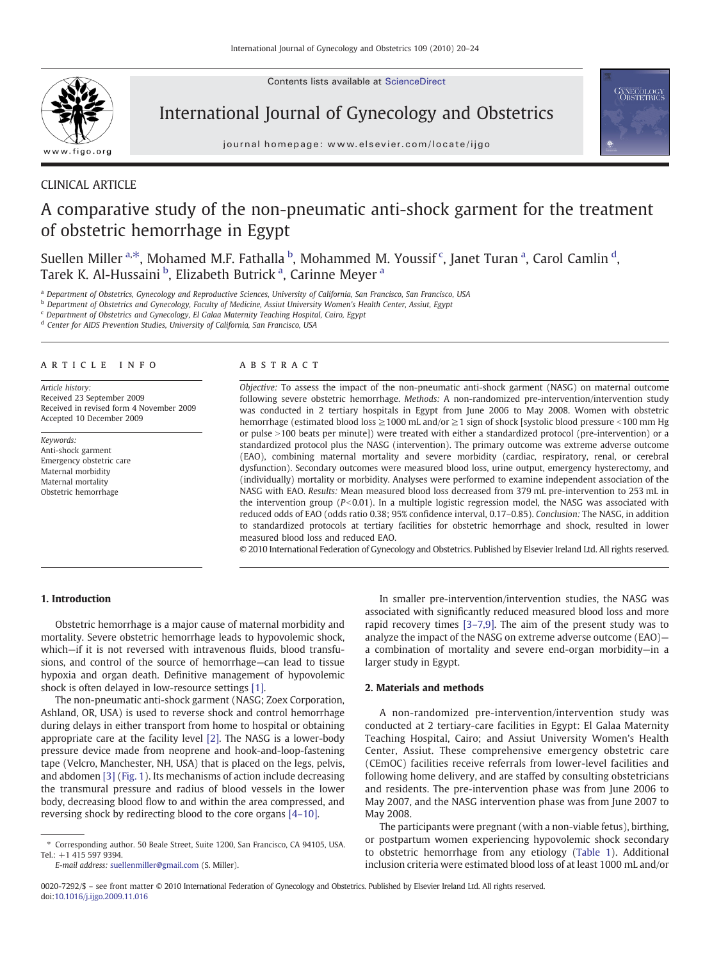Contents lists available at ScienceDirect



International Journal of Gynecology and Obstetrics

 $j$  or expression and every interesting  $\mathbf{y}$  or



# CLINICAL ARTICLE

# A comparative study of the non-pneumatic anti-shock garment for the treatment of obstetric hemorrhage in Egypt

Suellen Miller <sup>a,\*</sup>, Mohamed M.F. Fathalla <sup>b</sup>, Mohammed M. Youssif <sup>c</sup>, Janet Turan <sup>a</sup>, Carol Camlin <sup>d</sup>, Tarek K. Al-Hussaini <sup>b</sup>, Elizabeth Butrick <sup>a</sup>, Carinne Meyer <sup>a</sup>

a Department of Obstetrics, Gynecology and Reproductive Sciences, University of California, San Francisco, San Francisco, USA

<sup>b</sup> Department of Obstetrics and Gynecology, Faculty of Medicine, Assiut University Women's Health Center, Assiut, Egypt

 $c$  Department of Obstetrics and Gynecology, El Galaa Maternity Teaching Hospital, Cairo, Egypt

<sup>d</sup> Center for AIDS Prevention Studies, University of California, San Francisco, USA

# article info abstract

Article history: Received 23 September 2009 Received in revised form 4 November 2009 Accepted 10 December 2009

Keywords: Anti-shock garment Emergency obstetric care Maternal morbidity Maternal mortality Obstetric hemorrhage

Objective: To assess the impact of the non-pneumatic anti-shock garment (NASG) on maternal outcome following severe obstetric hemorrhage. Methods: A non-randomized pre-intervention/intervention study was conducted in 2 tertiary hospitals in Egypt from June 2006 to May 2008. Women with obstetric hemorrhage (estimated blood loss  $\geq$  1000 mL and/or  $\geq$  1 sign of shock [systolic blood pressure < 100 mm Hg or pulse >100 beats per minute]) were treated with either a standardized protocol (pre-intervention) or a standardized protocol plus the NASG (intervention). The primary outcome was extreme adverse outcome (EAO), combining maternal mortality and severe morbidity (cardiac, respiratory, renal, or cerebral dysfunction). Secondary outcomes were measured blood loss, urine output, emergency hysterectomy, and (individually) mortality or morbidity. Analyses were performed to examine independent association of the NASG with EAO. Results: Mean measured blood loss decreased from 379 mL pre-intervention to 253 mL in the intervention group ( $P<0.01$ ). In a multiple logistic regression model, the NASG was associated with reduced odds of EAO (odds ratio 0.38; 95% confidence interval, 0.17–0.85). Conclusion: The NASG, in addition to standardized protocols at tertiary facilities for obstetric hemorrhage and shock, resulted in lower measured blood loss and reduced EAO.

© 2010 International Federation of Gynecology and Obstetrics. Published by Elsevier Ireland Ltd. All rights reserved.

# 1. Introduction

Obstetric hemorrhage is a major cause of maternal morbidity and mortality. Severe obstetric hemorrhage leads to hypovolemic shock, which—if it is not reversed with intravenous fluids, blood transfusions, and control of the source of hemorrhage—can lead to tissue hypoxia and organ death. Definitive management of hypovolemic shock is often delayed in low-resource settings [\[1\].](#page-4-0)

The non-pneumatic anti-shock garment (NASG; Zoex Corporation, Ashland, OR, USA) is used to reverse shock and control hemorrhage during delays in either transport from home to hospital or obtaining appropriate care at the facility level [\[2\]](#page-4-0). The NASG is a lower-body pressure device made from neoprene and hook-and-loop-fastening tape (Velcro, Manchester, NH, USA) that is placed on the legs, pelvis, and abdomen [\[3\]](#page-4-0) ([Fig. 1](#page-1-0)). Its mechanisms of action include decreasing the transmural pressure and radius of blood vessels in the lower body, decreasing blood flow to and within the area compressed, and reversing shock by redirecting blood to the core organs [4–[10\]](#page-4-0).

E-mail address: [suellenmiller@gmail.com](mailto:suellenmiller@gmail.com) (S. Miller).

In smaller pre-intervention/intervention studies, the NASG was associated with significantly reduced measured blood loss and more rapid recovery times [3–[7,9\]](#page-4-0). The aim of the present study was to analyze the impact of the NASG on extreme adverse outcome (EAO) a combination of mortality and severe end-organ morbidity—in a larger study in Egypt.

# 2. Materials and methods

A non-randomized pre-intervention/intervention study was conducted at 2 tertiary-care facilities in Egypt: El Galaa Maternity Teaching Hospital, Cairo; and Assiut University Women's Health Center, Assiut. These comprehensive emergency obstetric care (CEmOC) facilities receive referrals from lower-level facilities and following home delivery, and are staffed by consulting obstetricians and residents. The pre-intervention phase was from June 2006 to May 2007, and the NASG intervention phase was from June 2007 to May 2008.

The participants were pregnant (with a non-viable fetus), birthing, or postpartum women experiencing hypovolemic shock secondary to obstetric hemorrhage from any etiology [\(Table 1](#page-1-0)). Additional inclusion criteria were estimated blood loss of at least 1000 mL and/or

<sup>⁎</sup> Corresponding author. 50 Beale Street, Suite 1200, San Francisco, CA 94105, USA. Tel.: +1 415 597 9394.

<sup>0020-7292/\$</sup> – see front matter © 2010 International Federation of Gynecology and Obstetrics. Published by Elsevier Ireland Ltd. All rights reserved. doi[:10.1016/j.ijgo.2009.11.016](http://dx.doi.org/10.1016/j.ijgo.2009.11.016)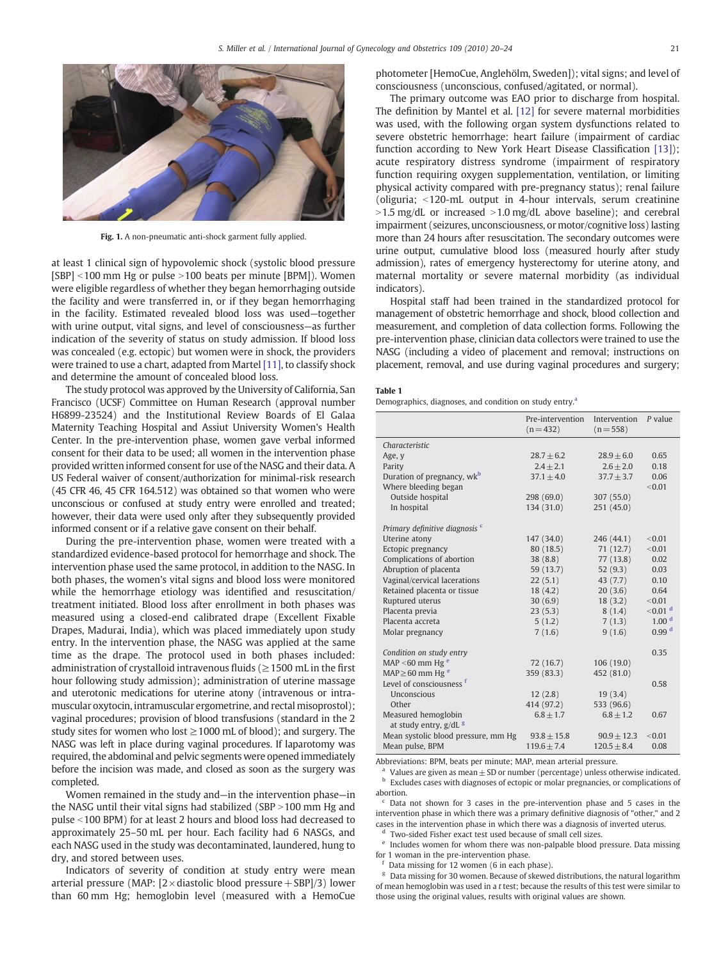<span id="page-1-0"></span>

Fig. 1. A non-pneumatic anti-shock garment fully applied.

at least 1 clinical sign of hypovolemic shock (systolic blood pressure  $[SBP] < 100$  mm Hg or pulse  $> 100$  beats per minute  $[BPM]$ ). Women were eligible regardless of whether they began hemorrhaging outside the facility and were transferred in, or if they began hemorrhaging in the facility. Estimated revealed blood loss was used—together with urine output, vital signs, and level of consciousness—as further indication of the severity of status on study admission. If blood loss was concealed (e.g. ectopic) but women were in shock, the providers were trained to use a chart, adapted from Martel [\[11\]](#page-4-0), to classify shock and determine the amount of concealed blood loss.

The study protocol was approved by the University of California, San Francisco (UCSF) Committee on Human Research (approval number H6899-23524) and the Institutional Review Boards of El Galaa Maternity Teaching Hospital and Assiut University Women's Health Center. In the pre-intervention phase, women gave verbal informed consent for their data to be used; all women in the intervention phase provided written informed consent for use of the NASG and their data. A US Federal waiver of consent/authorization for minimal-risk research (45 CFR 46, 45 CFR 164.512) was obtained so that women who were unconscious or confused at study entry were enrolled and treated; however, their data were used only after they subsequently provided informed consent or if a relative gave consent on their behalf.

During the pre-intervention phase, women were treated with a standardized evidence-based protocol for hemorrhage and shock. The intervention phase used the same protocol, in addition to the NASG. In both phases, the women's vital signs and blood loss were monitored while the hemorrhage etiology was identified and resuscitation/ treatment initiated. Blood loss after enrollment in both phases was measured using a closed-end calibrated drape (Excellent Fixable Drapes, Madurai, India), which was placed immediately upon study entry. In the intervention phase, the NASG was applied at the same time as the drape. The protocol used in both phases included: administration of crystalloid intravenous fluids ( $\geq$  1500 mL in the first hour following study admission); administration of uterine massage and uterotonic medications for uterine atony (intravenous or intramuscular oxytocin, intramuscular ergometrine, and rectal misoprostol); vaginal procedures; provision of blood transfusions (standard in the 2 study sites for women who lost  $\geq 1000$  mL of blood); and surgery. The NASG was left in place during vaginal procedures. If laparotomy was required, the abdominal and pelvic segments were opened immediately before the incision was made, and closed as soon as the surgery was completed.

Women remained in the study and—in the intervention phase—in the NASG until their vital signs had stabilized (SBP  $>$  100 mm Hg and pulse  $<$ 100 BPM) for at least 2 hours and blood loss had decreased to approximately 25–50 mL per hour. Each facility had 6 NASGs, and each NASG used in the study was decontaminated, laundered, hung to dry, and stored between uses.

Indicators of severity of condition at study entry were mean arterial pressure (MAP:  $[2 \times$  diastolic blood pressure + SBP]/3) lower than 60 mm Hg; hemoglobin level (measured with a HemoCue photometer [HemoCue, Anglehölm, Sweden]); vital signs; and level of consciousness (unconscious, confused/agitated, or normal).

The primary outcome was EAO prior to discharge from hospital. The definition by Mantel et al. [\[12\]](#page-4-0) for severe maternal morbidities was used, with the following organ system dysfunctions related to severe obstetric hemorrhage: heart failure (impairment of cardiac function according to New York Heart Disease Classification [\[13\]](#page-4-0)); acute respiratory distress syndrome (impairment of respiratory function requiring oxygen supplementation, ventilation, or limiting physical activity compared with pre-pregnancy status); renal failure (oliguria; <120-mL output in 4-hour intervals, serum creatinine  $>1.5$  mg/dL or increased  $>1.0$  mg/dL above baseline); and cerebral impairment (seizures, unconsciousness, or motor/cognitive loss) lasting more than 24 hours after resuscitation. The secondary outcomes were urine output, cumulative blood loss (measured hourly after study admission), rates of emergency hysterectomy for uterine atony, and maternal mortality or severe maternal morbidity (as individual indicators).

Hospital staff had been trained in the standardized protocol for management of obstetric hemorrhage and shock, blood collection and measurement, and completion of data collection forms. Following the pre-intervention phase, clinician data collectors were trained to use the NASG (including a video of placement and removal; instructions on placement, removal, and use during vaginal procedures and surgery;

# Table 1

Demographics, diagnoses, and condition on study entry.<sup>a</sup>

|                                           | Pre-intervention<br>$(n=432)$ | Intervention<br>$(n = 558)$ | $P$ value           |
|-------------------------------------------|-------------------------------|-----------------------------|---------------------|
| Characteristic                            |                               |                             |                     |
| Age, y                                    | $28.7 \pm 6.2$                | $28.9 + 6.0$                | 0.65                |
| Parity                                    | $2.4 + 2.1$                   | $2.6 + 2.0$                 | 0.18                |
| Duration of pregnancy, wk <sup>b</sup>    | $37.1 + 4.0$                  | $37.7 \pm 3.7$              | 0.06                |
| Where bleeding began                      |                               |                             | < 0.01              |
| Outside hospital                          | 298 (69.0)                    | 307 (55.0)                  |                     |
| In hospital                               | 134 (31.0)                    | 251 (45.0)                  |                     |
| Primary definitive diagnosis <sup>c</sup> |                               |                             |                     |
| Uterine atony                             | 147 (34.0)                    | 246 (44.1)                  | < 0.01              |
| Ectopic pregnancy                         | 80 (18.5)                     | 71 (12.7)                   | < 0.01              |
| Complications of abortion                 | 38(8.8)                       | 77 (13.8)                   | 0.02                |
| Abruption of placenta                     | 59 (13.7)                     | 52(9.3)                     | 0.03                |
| Vaginal/cervical lacerations              | 22(5.1)                       | 43 (7.7)                    | 0.10                |
| Retained placenta or tissue               | 18(4.2)                       | 20(3.6)                     | 0.64                |
| Ruptured uterus                           | 30(6.9)                       | 18(3.2)                     | < 0.01              |
| Placenta previa                           | 23(5.3)                       | 8(1.4)                      | $<$ 0.01 $^{\rm d}$ |
| Placenta accreta                          | 5(1.2)                        | 7(1.3)                      | 1.00 <sup>d</sup>   |
| Molar pregnancy                           | 7(1.6)                        | 9(1.6)                      | 0.99 <sup>d</sup>   |
| Condition on study entry                  |                               |                             | 0.35                |
| MAP <60 mm Hg $^{\rm e}$                  | 72 (16.7)                     | 106(19.0)                   |                     |
| $MAP \ge 60$ mm Hg <sup>e</sup>           | 359 (83.3)                    | 452 (81.0)                  |                     |
| Level of consciousness f                  |                               |                             | 0.58                |
| Unconscious                               | 12(2.8)                       | 19(3.4)                     |                     |
| Other                                     | 414 (97.2)                    | 533 (96.6)                  |                     |
| Measured hemoglobin                       | $6.8 + 1.7$                   | $6.8 + 1.2$                 | 0.67                |
| at study entry, $g/dL$ <sup>g</sup>       |                               |                             |                     |
| Mean systolic blood pressure, mm Hg       | $93.8 + 15.8$                 | $90.9 + 12.3$               | < 0.01              |
| Mean pulse, BPM                           | $119.6 + 7.4$                 | $120.5 + 8.4$               | 0.08                |

Abbreviations: BPM, beats per minute; MAP, mean arterial pressure.

Values are given as mean  $\pm$  SD or number (percentage) unless otherwise indicated. **b** Excludes cases with diagnoses of ectopic or molar pregnancies, or complications of abortion.

 $c$  Data not shown for 3 cases in the pre-intervention phase and 5 cases in the intervention phase in which there was a primary definitive diagnosis of "other," and 2 cases in the intervention phase in which there was a diagnosis of inverted uterus.

Two-sided Fisher exact test used because of small cell sizes.

<sup>e</sup> Includes women for whom there was non-palpable blood pressure. Data missing for 1 woman in the pre-intervention phase.

Data missing for 12 women (6 in each phase).

<sup>g</sup> Data missing for 30 women. Because of skewed distributions, the natural logarithm of mean hemoglobin was used in a  $t$  test; because the results of this test were similar to those using the original values, results with original values are shown.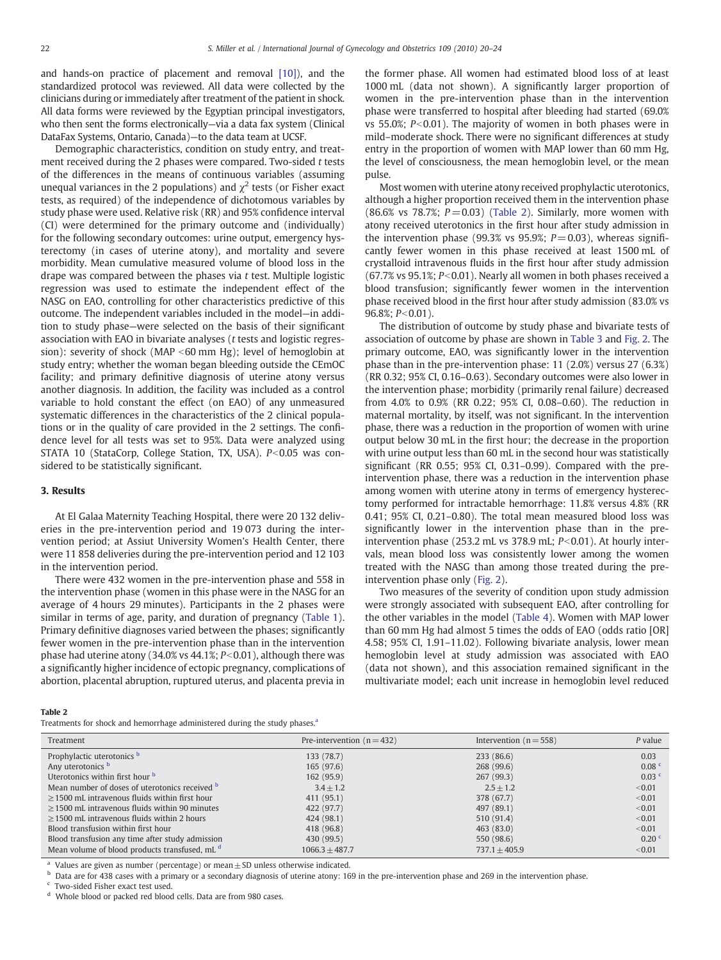and hands-on practice of placement and removal [\[10\]\)](#page-4-0), and the standardized protocol was reviewed. All data were collected by the clinicians during or immediately after treatment of the patient in shock. All data forms were reviewed by the Egyptian principal investigators, who then sent the forms electronically—via a data fax system (Clinical DataFax Systems, Ontario, Canada)—to the data team at UCSF.

Demographic characteristics, condition on study entry, and treatment received during the 2 phases were compared. Two-sided t tests of the differences in the means of continuous variables (assuming unequal variances in the 2 populations) and  $\chi^2$  tests (or Fisher exact tests, as required) of the independence of dichotomous variables by study phase were used. Relative risk (RR) and 95% confidence interval (CI) were determined for the primary outcome and (individually) for the following secondary outcomes: urine output, emergency hysterectomy (in cases of uterine atony), and mortality and severe morbidity. Mean cumulative measured volume of blood loss in the drape was compared between the phases via t test. Multiple logistic regression was used to estimate the independent effect of the NASG on EAO, controlling for other characteristics predictive of this outcome. The independent variables included in the model—in addition to study phase—were selected on the basis of their significant association with EAO in bivariate analyses (t tests and logistic regression): severity of shock (MAP  $\leq 60$  mm Hg); level of hemoglobin at study entry; whether the woman began bleeding outside the CEmOC facility; and primary definitive diagnosis of uterine atony versus another diagnosis. In addition, the facility was included as a control variable to hold constant the effect (on EAO) of any unmeasured systematic differences in the characteristics of the 2 clinical populations or in the quality of care provided in the 2 settings. The confidence level for all tests was set to 95%. Data were analyzed using STATA 10 (StataCorp, College Station, TX, USA).  $P<0.05$  was considered to be statistically significant.

#### 3. Results

At El Galaa Maternity Teaching Hospital, there were 20 132 deliveries in the pre-intervention period and 19 073 during the intervention period; at Assiut University Women's Health Center, there were 11 858 deliveries during the pre-intervention period and 12 103 in the intervention period.

There were 432 women in the pre-intervention phase and 558 in the intervention phase (women in this phase were in the NASG for an average of 4 hours 29 minutes). Participants in the 2 phases were similar in terms of age, parity, and duration of pregnancy ([Table 1](#page-1-0)). Primary definitive diagnoses varied between the phases; significantly fewer women in the pre-intervention phase than in the intervention phase had uterine atony (34.0% vs  $44.1\%$ ;  $P<0.01$ ), although there was a significantly higher incidence of ectopic pregnancy, complications of abortion, placental abruption, ruptured uterus, and placenta previa in the former phase. All women had estimated blood loss of at least 1000 mL (data not shown). A significantly larger proportion of women in the pre-intervention phase than in the intervention phase were transferred to hospital after bleeding had started (69.0% vs 55.0%;  $P<0.01$ ). The majority of women in both phases were in mild–moderate shock. There were no significant differences at study entry in the proportion of women with MAP lower than 60 mm Hg, the level of consciousness, the mean hemoglobin level, or the mean pulse.

Most women with uterine atony received prophylactic uterotonics, although a higher proportion received them in the intervention phase (86.6% vs 78.7%;  $P = 0.03$ ) (Table 2). Similarly, more women with atony received uterotonics in the first hour after study admission in the intervention phase (99.3% vs 95.9%;  $P = 0.03$ ), whereas significantly fewer women in this phase received at least 1500 mL of crystalloid intravenous fluids in the first hour after study admission  $(67.7\%$  vs 95.1%; P<0.01). Nearly all women in both phases received a blood transfusion; significantly fewer women in the intervention phase received blood in the first hour after study admission (83.0% vs 96.8%; P<0.01).

The distribution of outcome by study phase and bivariate tests of association of outcome by phase are shown in [Table 3](#page-3-0) and [Fig. 2](#page-3-0). The primary outcome, EAO, was significantly lower in the intervention phase than in the pre-intervention phase: 11 (2.0%) versus 27 (6.3%) (RR 0.32; 95% CI, 0.16–0.63). Secondary outcomes were also lower in the intervention phase; morbidity (primarily renal failure) decreased from 4.0% to 0.9% (RR 0.22; 95% CI, 0.08–0.60). The reduction in maternal mortality, by itself, was not significant. In the intervention phase, there was a reduction in the proportion of women with urine output below 30 mL in the first hour; the decrease in the proportion with urine output less than 60 mL in the second hour was statistically significant (RR 0.55; 95% CI, 0.31–0.99). Compared with the preintervention phase, there was a reduction in the intervention phase among women with uterine atony in terms of emergency hysterectomy performed for intractable hemorrhage: 11.8% versus 4.8% (RR 0.41; 95% CI, 0.21–0.80). The total mean measured blood loss was significantly lower in the intervention phase than in the preintervention phase (253.2 mL vs 378.9 mL;  $P<0.01$ ). At hourly intervals, mean blood loss was consistently lower among the women treated with the NASG than among those treated during the preintervention phase only ([Fig. 2](#page-3-0)).

Two measures of the severity of condition upon study admission were strongly associated with subsequent EAO, after controlling for the other variables in the model ([Table 4](#page-3-0)). Women with MAP lower than 60 mm Hg had almost 5 times the odds of EAO (odds ratio [OR] 4.58; 95% CI, 1.91–11.02). Following bivariate analysis, lower mean hemoglobin level at study admission was associated with EAO (data not shown), and this association remained significant in the multivariate model; each unit increase in hemoglobin level reduced

#### Table 2

Treatments for shock and hemorrhage administered during the study phases.<sup>a</sup>

| Treatment                                                 | Pre-intervention $(n=432)$ | Intervention $(n = 558)$ | $P$ value         |
|-----------------------------------------------------------|----------------------------|--------------------------|-------------------|
| Prophylactic uterotonics b                                | 133 (78.7)                 | 233(86.6)                | 0.03              |
| Any uterotonics b                                         | 165 (97.6)                 | 268 (99.6)               | 0.08 <sup>c</sup> |
| Uterotonics within first hour <b>b</b>                    | 162(95.9)                  | 267(99.3)                | 0.03 <sup>c</sup> |
| Mean number of doses of uterotonics received b            | $3.4 + 1.2$                | $2.5 + 1.2$              | < 0.01            |
| $\geq$ 1500 mL intravenous fluids within first hour       | 411 (95.1)                 | 378 (67.7)               | < 0.01            |
| $\geq$ 1500 mL intravenous fluids within 90 minutes       | 422 (97.7)                 | 497 (89.1)               | < 0.01            |
| $\geq$ 1500 mL intravenous fluids within 2 hours          | 424 (98.1)                 | 510(91.4)                | < 0.01            |
| Blood transfusion within first hour                       | 418 (96.8)                 | 463(83.0)                | < 0.01            |
| Blood transfusion any time after study admission          | 430 (99.5)                 | 550 (98.6)               | 0.20 <sup>c</sup> |
| Mean volume of blood products transfused, mL <sup>d</sup> | $1066.3 + 487.7$           | $737.1 + 405.9$          | < 0.01            |

<sup>a</sup> Values are given as number (percentage) or mean $\pm$  SD unless otherwise indicated.

<sup>b</sup> Data are for 438 cases with a primary or a secondary diagnosis of uterine atony: 169 in the pre-intervention phase and 269 in the intervention phase.

<sup>c</sup> Two-sided Fisher exact test used.

<sup>d</sup> Whole blood or packed red blood cells. Data are from 980 cases.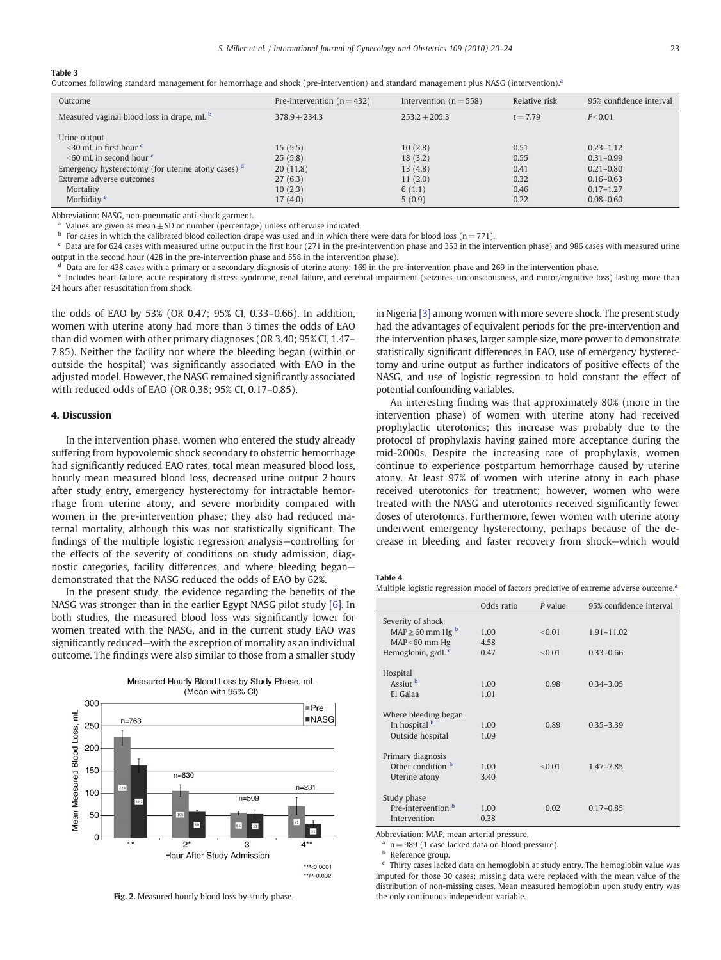### <span id="page-3-0"></span>Table 3

Outcomes following standard management for hemorrhage and shock (pre-intervention) and standard management plus NASG (intervention).<sup>a</sup>

| Outcome                                            | Pre-intervention ( $n = 432$ ) | Intervention $(n=558)$ | Relative risk | 95% confidence interval |
|----------------------------------------------------|--------------------------------|------------------------|---------------|-------------------------|
| Measured vaginal blood loss in drape, mL b         | $378.9 + 234.3$                | $253.2 + 205.3$        | $t = 7.79$    | P < 0.01                |
| Urine output                                       |                                |                        |               |                         |
| $\leq$ 30 mL in first hour $\epsilon$              | 15(5.5)                        | 10(2.8)                | 0.51          | $0.23 - 1.12$           |
| $\leq$ 60 mL in second hour $\epsilon$             | 25(5.8)                        | 18(3.2)                | 0.55          | $0.31 - 0.99$           |
| Emergency hysterectomy (for uterine atony cases) d | 20(11.8)                       | 13(4.8)                | 0.41          | $0.21 - 0.80$           |
| Extreme adverse outcomes                           | 27(6.3)                        | 11(2.0)                | 0.32          | $0.16 - 0.63$           |
| Mortality                                          | 10(2.3)                        | 6(1.1)                 | 0.46          | $0.17 - 1.27$           |
| Morbidity <sup>e</sup>                             | 17(4.0)                        | 5(0.9)                 | 0.22          | $0.08 - 0.60$           |

Abbreviation: NASG, non-pneumatic anti-shock garment.

Values are given as mean  $+$  SD or number (percentage) unless otherwise indicated.

For cases in which the calibrated blood collection drape was used and in which there were data for blood loss (n = 771).

<sup>c</sup> Data are for 624 cases with measured urine output in the first hour (271 in the pre-intervention phase and 353 in the intervention phase) and 986 cases with measured urine output in the second hour (428 in the pre-intervention phase and 558 in the intervention phase).

<sup>d</sup> Data are for 438 cases with a primary or a secondary diagnosis of uterine atony: 169 in the pre-intervention phase and 269 in the intervention phase.<br><sup>e</sup> Includes hort failure, acute respiratory distress sundrome, rep

Includes heart failure, acute respiratory distress syndrome, renal failure, and cerebral impairment (seizures, unconsciousness, and motor/cognitive loss) lasting more than 24 hours after resuscitation from shock.

the odds of EAO by 53% (OR 0.47; 95% CI, 0.33–0.66). In addition, women with uterine atony had more than 3 times the odds of EAO than did women with other primary diagnoses (OR 3.40; 95% CI, 1.47– 7.85). Neither the facility nor where the bleeding began (within or outside the hospital) was significantly associated with EAO in the adjusted model. However, the NASG remained significantly associated with reduced odds of EAO (OR 0.38; 95% CI, 0.17–0.85).

#### 4. Discussion

In the intervention phase, women who entered the study already suffering from hypovolemic shock secondary to obstetric hemorrhage had significantly reduced EAO rates, total mean measured blood loss, hourly mean measured blood loss, decreased urine output 2 hours after study entry, emergency hysterectomy for intractable hemorrhage from uterine atony, and severe morbidity compared with women in the pre-intervention phase; they also had reduced maternal mortality, although this was not statistically significant. The findings of the multiple logistic regression analysis—controlling for the effects of the severity of conditions on study admission, diagnostic categories, facility differences, and where bleeding began demonstrated that the NASG reduced the odds of EAO by 62%.

In the present study, the evidence regarding the benefits of the NASG was stronger than in the earlier Egypt NASG pilot study [\[6\]](#page-4-0). In both studies, the measured blood loss was significantly lower for women treated with the NASG, and in the current study EAO was significantly reduced—with the exception of mortality as an individual outcome. The findings were also similar to those from a smaller study



Fig. 2. Measured hourly blood loss by study phase.

in Nigeria [\[3\]](#page-4-0) among women with more severe shock. The present study had the advantages of equivalent periods for the pre-intervention and the intervention phases, larger sample size, more power to demonstrate statistically significant differences in EAO, use of emergency hysterectomy and urine output as further indicators of positive effects of the NASG, and use of logistic regression to hold constant the effect of potential confounding variables.

An interesting finding was that approximately 80% (more in the intervention phase) of women with uterine atony had received prophylactic uterotonics; this increase was probably due to the protocol of prophylaxis having gained more acceptance during the mid-2000s. Despite the increasing rate of prophylaxis, women continue to experience postpartum hemorrhage caused by uterine atony. At least 97% of women with uterine atony in each phase received uterotonics for treatment; however, women who were treated with the NASG and uterotonics received significantly fewer doses of uterotonics. Furthermore, fewer women with uterine atony underwent emergency hysterectomy, perhaps because of the decrease in bleeding and faster recovery from shock—which would

| $\sim$<br>. .<br>. . |  |
|----------------------|--|
|----------------------|--|

Multiple logistic regression model of factors predictive of extreme adverse outcome.<sup>a</sup>

|                          | Odds ratio | P value | 95% confidence interval |
|--------------------------|------------|---------|-------------------------|
| Severity of shock        |            |         |                         |
| $MAP \geq 60$ mm Hg $^b$ | 1.00       | < 0.01  | 1.91-11.02              |
| $MAP < 60$ mm Hg         | 4.58       |         |                         |
| Hemoglobin, $g/dL^c$     | 0.47       | < 0.01  | $0.33 - 0.66$           |
| Hospital                 |            |         |                         |
| Assiut <sup>b</sup>      | 1.00       | 0.98    | $0.34 - 3.05$           |
| El Galaa                 | 1.01       |         |                         |
|                          |            |         |                         |
| Where bleeding began     |            |         |                         |
| In hospital b            | 1.00       | 0.89    | $0.35 - 3.39$           |
| Outside hospital         | 1.09       |         |                         |
| Primary diagnosis        |            |         |                         |
| Other condition b        | 1.00       | < 0.01  | $1.47 - 7.85$           |
| Uterine atony            | 3.40       |         |                         |
|                          |            |         |                         |
| Study phase              |            |         |                         |
| Pre-intervention b       | 1.00       | 0.02    | $0.17 - 0.85$           |
| Intervention             | 0.38       |         |                         |

Abbreviation: MAP, mean arterial pressure.

 $n = 989$  (1 case lacked data on blood pressure).

**b** Reference group.

 $\text{c}\,$  Thirty cases lacked data on hemoglobin at study entry. The hemoglobin value was imputed for those 30 cases; missing data were replaced with the mean value of the distribution of non-missing cases. Mean measured hemoglobin upon study entry was the only continuous independent variable.